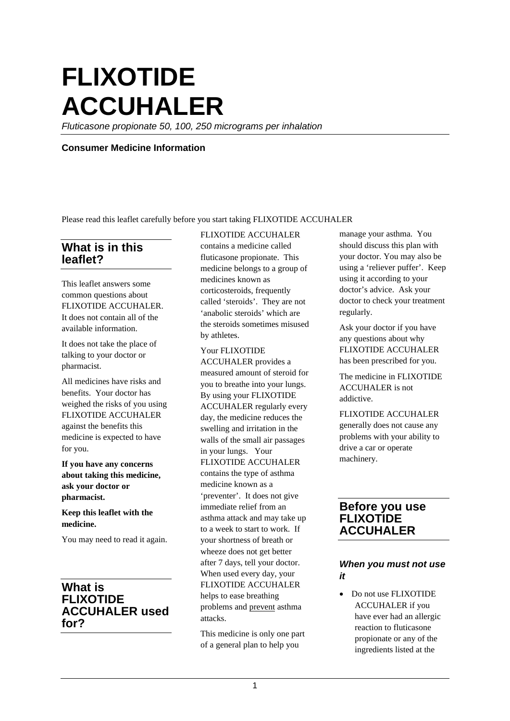# **FLIXOTIDE ACCUHALER**

*Fluticasone propionate 50, 100, 250 micrograms per inhalation*

#### **Consumer Medicine Information**

Please read this leaflet carefully before you start taking FLIXOTIDE ACCUHALER

## **What is in this leaflet?**

This leaflet answers some common questions about FLIXOTIDE ACCUHALER. It does not contain all of the available information.

It does not take the place of talking to your doctor or pharmacist.

All medicines have risks and benefits. Your doctor has weighed the risks of you using FLIXOTIDE ACCUHALER against the benefits this medicine is expected to have for you.

**If you have any concerns about taking this medicine, ask your doctor or pharmacist.**

#### **Keep this leaflet with the medicine.**

You may need to read it again.

## **What is FLIXOTIDE ACCUHALER used for?**

#### FLIXOTIDE ACCUHALER

contains a medicine called fluticasone propionate. This medicine belongs to a group of medicines known as corticosteroids, frequently called 'steroids'. They are not 'anabolic steroids' which are the steroids sometimes misused by athletes.

#### Your FLIXOTIDE

ACCUHALER provides a measured amount of steroid for you to breathe into your lungs. By using your FLIXOTIDE ACCUHALER regularly every day, the medicine reduces the swelling and irritation in the walls of the small air passages in your lungs. Your FLIXOTIDE ACCUHALER contains the type of asthma medicine known as a 'preventer'. It does not give immediate relief from an asthma attack and may take up to a week to start to work. If your shortness of breath or wheeze does not get better after 7 days, tell your doctor. When used every day, your FLIXOTIDE ACCUHALER helps to ease breathing problems and prevent asthma attacks.

This medicine is only one part of a general plan to help you

manage your asthma. You should discuss this plan with your doctor. You may also be using a 'reliever puffer'. Keep using it according to your doctor's advice. Ask your doctor to check your treatment regularly.

Ask your doctor if you have any questions about why FLIXOTIDE ACCUHALER has been prescribed for you.

The medicine in FLIXOTIDE ACCUHALER is not addictive.

FLIXOTIDE ACCUHALER generally does not cause any problems with your ability to drive a car or operate machinery.

## **Before you use FLIXOTIDE ACCUHALER**

## *When you must not use it*

• Do not use FLIXOTIDE ACCUHALER if you have ever had an allergic reaction to fluticasone propionate or any of the ingredients listed at the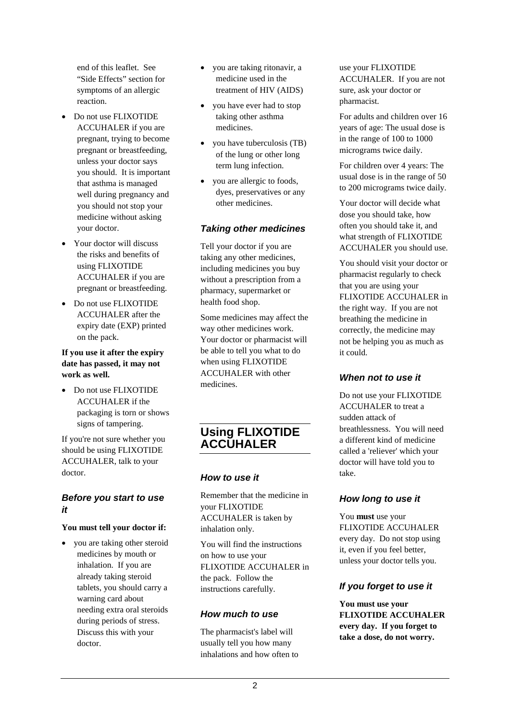end of this leaflet. See "Side Effects" section for symptoms of an allergic reaction.

- Do not use FLIXOTIDE ACCUHALER if you are pregnant, trying to become pregnant or breastfeeding, unless your doctor says you should. It is important that asthma is managed well during pregnancy and you should not stop your medicine without asking your doctor.
- Your doctor will discuss the risks and benefits of using FLIXOTIDE ACCUHALER if you are pregnant or breastfeeding.
- Do not use FLIXOTIDE ACCUHALER after the expiry date (EXP) printed on the pack.

#### **If you use it after the expiry date has passed, it may not work as well.**

• Do not use FLIXOTIDE ACCUHALER if the packaging is torn or shows signs of tampering.

If you're not sure whether you should be using FLIXOTIDE ACCUHALER, talk to your doctor.

## *Before you start to use it*

#### **You must tell your doctor if:**

• you are taking other steroid medicines by mouth or inhalation. If you are already taking steroid tablets, you should carry a warning card about needing extra oral steroids during periods of stress. Discuss this with your doctor.

- you are taking ritonavir, a medicine used in the treatment of HIV (AIDS)
- you have ever had to stop taking other asthma medicines.
- you have tuberculosis (TB) of the lung or other long term lung infection.
- you are allergic to foods, dyes, preservatives or any other medicines.

## *Taking other medicines*

Tell your doctor if you are taking any other medicines, including medicines you buy without a prescription from a pharmacy, supermarket or health food shop.

Some medicines may affect the way other medicines work. Your doctor or pharmacist will be able to tell you what to do when using FLIXOTIDE ACCUHALER with other medicines.

# **Using FLIXOTIDE ACCUHALER**

## *How to use it*

Remember that the medicine in your FLIXOTIDE ACCUHALER is taken by inhalation only.

You will find the instructions on how to use your FLIXOTIDE ACCUHALER in the pack. Follow the instructions carefully.

## *How much to use*

The pharmacist's label will usually tell you how many inhalations and how often to

use your FLIXOTIDE ACCUHALER. If you are not sure, ask your doctor or pharmacist.

For adults and children over 16 years of age: The usual dose is in the range of 100 to 1000 micrograms twice daily.

For children over 4 years: The usual dose is in the range of 50 to 200 micrograms twice daily.

Your doctor will decide what dose you should take, how often you should take it, and what strength of FLIXOTIDE ACCUHALER you should use.

You should visit your doctor or pharmacist regularly to check that you are using your FLIXOTIDE ACCUHALER in the right way. If you are not breathing the medicine in correctly, the medicine may not be helping you as much as it could.

## *When not to use it*

Do not use your FLIXOTIDE ACCUHALER to treat a sudden attack of breathlessness. You will need a different kind of medicine called a 'reliever' which your doctor will have told you to take.

## *How long to use it*

You **must** use your FLIXOTIDE ACCUHALER every day. Do not stop using it, even if you feel better, unless your doctor tells you.

## *If you forget to use it*

**You must use your FLIXOTIDE ACCUHALER every day. If you forget to take a dose, do not worry.**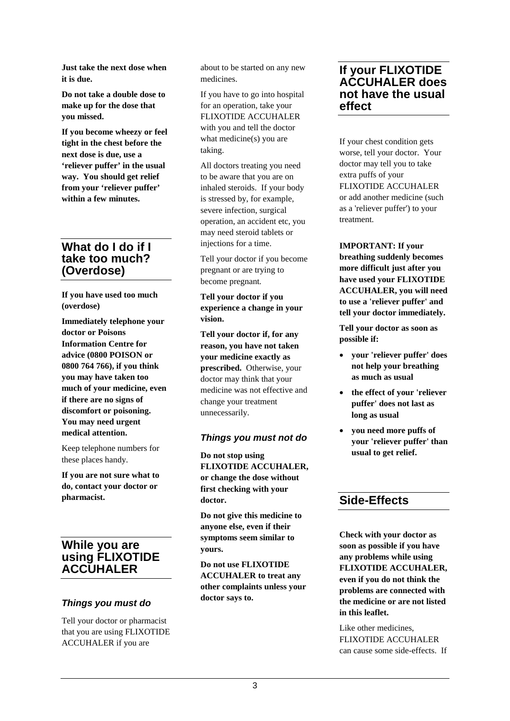**Just take the next dose when it is due.** 

**Do not take a double dose to make up for the dose that you missed.**

**If you become wheezy or feel tight in the chest before the next dose is due, use a 'reliever puffer' in the usual way. You should get relief from your 'reliever puffer' within a few minutes.**

## **What do I do if I take too much? (Overdose)**

**If you have used too much (overdose)**

**Immediately telephone your doctor or Poisons Information Centre for advice (0800 POISON or 0800 764 766), if you think you may have taken too much of your medicine, even if there are no signs of discomfort or poisoning. You may need urgent medical attention.**

Keep telephone numbers for these places handy.

**If you are not sure what to do, contact your doctor or pharmacist.**

## **While you are using FLIXOTIDE ACCUHALER**

## *Things you must do*

Tell your doctor or pharmacist that you are using FLIXOTIDE ACCUHALER if you are

about to be started on any new medicines.

If you have to go into hospital for an operation, take your FLIXOTIDE ACCUHALER with you and tell the doctor what medicine(s) you are taking.

All doctors treating you need to be aware that you are on inhaled steroids. If your body is stressed by, for example, severe infection, surgical operation, an accident etc, you may need steroid tablets or injections for a time.

Tell your doctor if you become pregnant or are trying to become pregnant*.*

**Tell your doctor if you experience a change in your vision.**

**Tell your doctor if, for any reason, you have not taken your medicine exactly as prescribed.** Otherwise, your doctor may think that your medicine was not effective and change your treatment unnecessarily.

## *Things you must not do*

**Do not stop using FLIXOTIDE ACCUHALER, or change the dose without first checking with your doctor.**

**Do not give this medicine to anyone else, even if their symptoms seem similar to yours.**

**Do not use FLIXOTIDE ACCUHALER to treat any other complaints unless your doctor says to.**

## **If your FLIXOTIDE ACCUHALER does not have the usual effect**

If your chest condition gets worse, tell your doctor. Your doctor may tell you to take extra puffs of your FLIXOTIDE ACCUHALER or add another medicine (such as a 'reliever puffer') to your treatment.

**IMPORTANT: If your breathing suddenly becomes more difficult just after you have used your FLIXOTIDE ACCUHALER, you will need to use a 'reliever puffer' and tell your doctor immediately.**

**Tell your doctor as soon as possible if:**

- **your 'reliever puffer' does not help your breathing as much as usual**
- **the effect of your 'reliever puffer' does not last as long as usual**
- **you need more puffs of your 'reliever puffer' than usual to get relief.**

# **Side-Effects**

**Check with your doctor as soon as possible if you have any problems while using FLIXOTIDE ACCUHALER, even if you do not think the problems are connected with the medicine or are not listed in this leaflet.**

Like other medicines, FLIXOTIDE ACCUHALER can cause some side-effects. If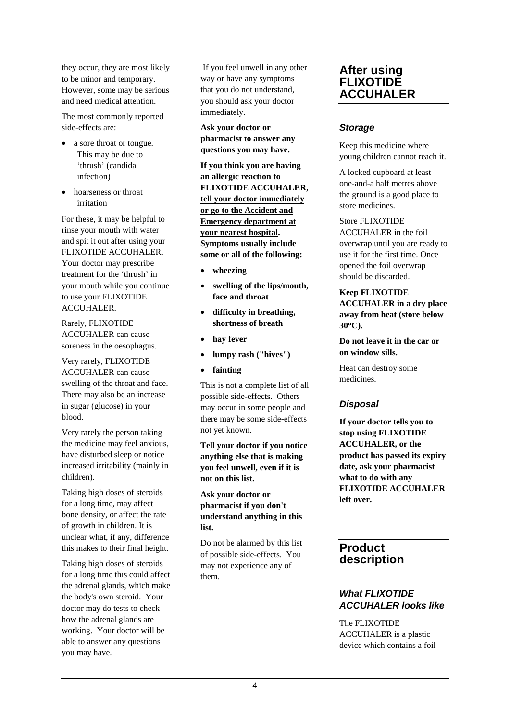they occur, they are most likely to be minor and temporary. However, some may be serious and need medical attention.

The most commonly reported side-effects are:

- a sore throat or tongue. This may be due to 'thrush' (candida infection)
- hoarseness or throat irritation

For these, it may be helpful to rinse your mouth with water and spit it out after using your FLIXOTIDE ACCUHALER. Your doctor may prescribe treatment for the 'thrush' in your mouth while you continue to use your FLIXOTIDE ACCUHALER.

Rarely, FLIXOTIDE ACCUHALER can cause soreness in the oesophagus.

Very rarely, FLIXOTIDE ACCUHALER can cause swelling of the throat and face. There may also be an increase in sugar (glucose) in your blood.

Very rarely the person taking the medicine may feel anxious, have disturbed sleep or notice increased irritability (mainly in children).

Taking high doses of steroids for a long time, may affect bone density, or affect the rate of growth in children. It is unclear what, if any, difference this makes to their final height.

Taking high doses of steroids for a long time this could affect the adrenal glands, which make the body's own steroid. Your doctor may do tests to check how the adrenal glands are working. Your doctor will be able to answer any questions you may have.

If you feel unwell in any other way or have any symptoms that you do not understand, you should ask your doctor immediately.

**Ask your doctor or pharmacist to answer any questions you may have.**

**If you think you are having an allergic reaction to FLIXOTIDE ACCUHALER, tell your doctor immediately or go to the Accident and Emergency department at your nearest hospital. Symptoms usually include some or all of the following:**

- **wheezing**
- **swelling of the lips/mouth, face and throat**
- **difficulty in breathing, shortness of breath**
- hay fever
- **lumpy rash ("hives")**
- **fainting**

This is not a complete list of all possible side-effects. Others may occur in some people and there may be some side-effects not yet known.

**Tell your doctor if you notice anything else that is making you feel unwell, even if it is not on this list.**

**Ask your doctor or pharmacist if you don't understand anything in this list.**

Do not be alarmed by this list of possible side-effects. You may not experience any of them.

## **After using FLIXOTIDE ACCUHALER**

## *Storage*

Keep this medicine where young children cannot reach it.

A locked cupboard at least one-and-a half metres above the ground is a good place to store medicines.

Store FLIXOTIDE ACCUHALER in the foil overwrap until you are ready to use it for the first time. Once opened the foil overwrap should be discarded.

**Keep FLIXOTIDE ACCUHALER in a dry place away from heat (store below 30**°**C).**

**Do not leave it in the car or on window sills.**

Heat can destroy some medicines.

## *Disposal*

**If your doctor tells you to stop using FLIXOTIDE ACCUHALER, or the product has passed its expiry date, ask your pharmacist what to do with any FLIXOTIDE ACCUHALER left over.**

# **Product description**

## *What FLIXOTIDE ACCUHALER looks like*

The FLIXOTIDE ACCUHALER is a plastic device which contains a foil